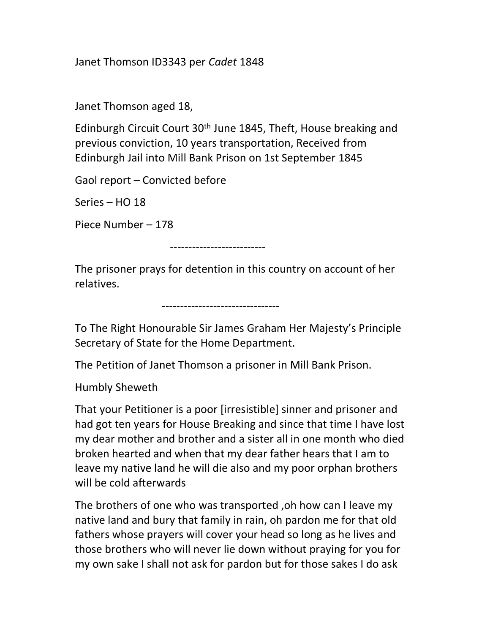Janet Thomson ID3343 per Cadet 1848

Janet Thomson aged 18,

Edinburgh Circuit Court 30<sup>th</sup> June 1845, Theft, House breaking and previous conviction, 10 years transportation, Received from Edinburgh Jail into Mill Bank Prison on 1st September 1845

Gaol report – Convicted before

Series – HO 18

Piece Number – 178

--------------------------

The prisoner prays for detention in this country on account of her relatives.

--------------------------------

To The Right Honourable Sir James Graham Her Majesty's Principle Secretary of State for the Home Department.

The Petition of Janet Thomson a prisoner in Mill Bank Prison.

Humbly Sheweth

That your Petitioner is a poor [irresistible] sinner and prisoner and had got ten years for House Breaking and since that time I have lost my dear mother and brother and a sister all in one month who died broken hearted and when that my dear father hears that I am to leave my native land he will die also and my poor orphan brothers will be cold afterwards

The brothers of one who was transported ,oh how can I leave my native land and bury that family in rain, oh pardon me for that old fathers whose prayers will cover your head so long as he lives and those brothers who will never lie down without praying for you for my own sake I shall not ask for pardon but for those sakes I do ask